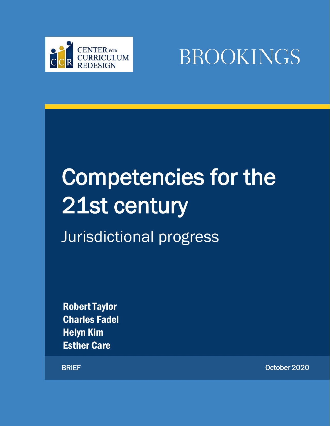

BROOKINGS

# Competencies for the 21st century

Jurisdictional progress

Robert Taylor Charles Fadel Helyn Kim Esther Care

BRIEF October 2020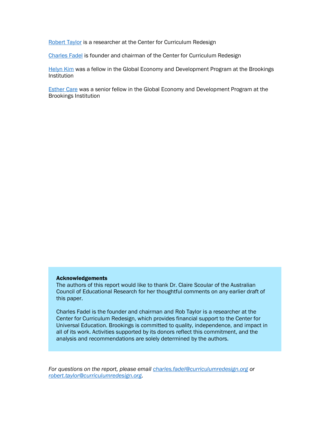[Robert Taylor](https://curriculumredesign.org/about/team/) is a researcher at the Center for Curriculum Redesign

[Charles Fadel](https://curriculumredesign.org/about/team/#charles) is founder and chairman of the Center for Curriculum Redesign

[Helyn Kim](https://www.brookings.edu/author/helyn-kim/) was a fellow in the Global Economy and Development Program at the Brookings Institution

[Esther Care](https://www.brookings.edu/?author_name=esther-care) was a senior fellow in the Global Economy and Development Program at the Brookings Institution

#### Acknowledgements

The authors of this report would like to thank Dr. Claire Scoular of the Australian Council of Educational Research for her thoughtful comments on any earlier draft of this paper.

Charles Fadel is the founder and chairman and Rob Taylor is a researcher at the Center for Curriculum Redesign, which provides financial support to the Center for Universal Education. Brookings is committed to quality, independence, and impact in all of its work. Activities supported by its donors reflect this commitment, and the analysis and recommendations are solely determined by the authors.

*For questions on the report, please email [charles.fadel@curriculumredesign.org](mailto:charles.fadel@curriculumredesign.org) or [robert.taylor@curriculumredesign.org.](mailto:robert.taylor@curriculumredesign.org)*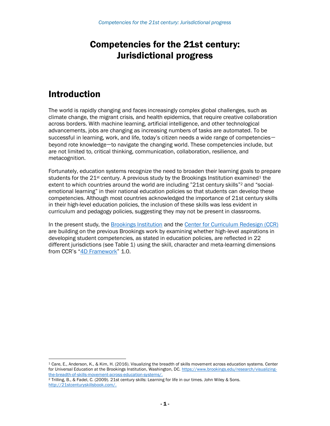# Competencies for the 21st century: Jurisdictional progress

## Introduction

The world is rapidly changing and faces increasingly complex global challenges, such as climate change, the migrant crisis, and health epidemics, that require creative collaboration across borders. With machine learning, artificial intelligence, and other technological advancements, jobs are changing as increasing numbers of tasks are automated. To be successful in learning, work, and life, today's citizen needs a wide range of competencies beyond rote knowledge—to navigate the changing world. These competencies include, but are not limited to, critical thinking, communication, collaboration, resilience, and metacognition.

Fortunately, education systems recognize the need to broaden their learning goals to prepare students for the  $21^{st}$  century. A previous study by the Brookings Institution examined<sup>1</sup> the extent to which countries around the world are including "21st century skills"<sup>2</sup> and "socialemotional learning" in their national education policies so that students can develop these competencies. Although most countries acknowledged the importance of 21st century skills in their high-level education policies, the inclusion of these skills was less evident in curriculum and pedagogy policies, suggesting they may not be present in classrooms.

In the present study, the **Brookings Institution** and the [Center for Curriculum Redesign \(CCR\)](https://curriculumredesign.org/) are building on the previous Brookings work by examining whether high-level aspirations in developing student competencies, as stated in education policies, are reflected in 22 different jurisdictions (see Table 1) using the skill, character and meta-learning dimensions from CCR's "[4D Framework](https://curriculumredesign.org/framework/)" 1.0.

<sup>1</sup> Care, E., Anderson, K., & Kim, H. (2016). Visualizing the breadth of skills movement across education systems. Center for Universal Education at the Brookings Institution, Washington, DC. [https://www.brookings.edu/research/visualizing](https://www.brookings.edu/research/visualizing-the-breadth-of-skills-movement-across-education-systems/)[the-breadth-of-skills-movement-across-education-systems/.](https://www.brookings.edu/research/visualizing-the-breadth-of-skills-movement-across-education-systems/)

<sup>2</sup> Trilling, B., & Fadel, C. (2009). 21st century skills: Learning for life in our times. John Wiley & Sons. [http://21stcenturyskillsbook.com/.](http://21stcenturyskillsbook.com/)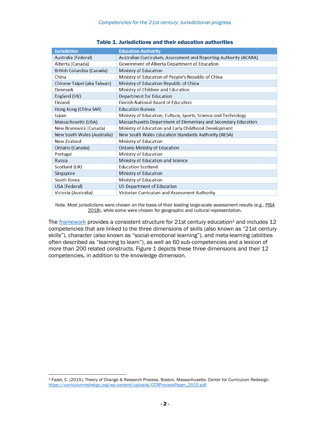| <b>Jurisdiction</b>         | <b>Education Authority</b>                                        |
|-----------------------------|-------------------------------------------------------------------|
| Australia (Federal)         | Australian Curriculum, Assessment and Reporting Authority (ACARA) |
| Alberta (Canada)            | Government of Alberta Department of Education                     |
| British Columbia (Canada)   | Ministry of Education                                             |
| China                       | Ministry of Education of People's Republic of China               |
| Chinese Taipei (aka Taiwan) | Ministry of Education Republic of China                           |
| Denmark                     | Ministry of Children and Education                                |
| England (UK)                | Department for Education                                          |
| Finland                     | <b>Finnish National Board of Education</b>                        |
| Hong Kong (China SAR)       | <b>Education Bureau</b>                                           |
| Japan                       | Ministry of Education, Culture, Sports, Science and Technology    |
| Massachusetts (USA)         | Massachusetts Department of Elementary and Secondary Education    |
| New Brunswick (Canada)      | Ministry of Education and Early Childhood Development             |
| New South Wales (Australia) | New South Wales Education Standards Authority (NESA)              |
| New Zealand                 | Ministry of Education                                             |
| Ontario (Canada)            | Ontario Ministry of Education                                     |
| Portugal                    | Ministry of Education                                             |
| Russia                      | Ministry of Education and Science                                 |
| Scotland (UK)               | <b>Education Scotland</b>                                         |
| Singapore                   | Ministry of Education                                             |
| South Korea                 | Ministry of Education                                             |
| USA (Federal)               | US Department of Education                                        |
| Victoria (Australia)        | Victorian Curriculum and Assessment Authority                     |

#### Table 1. Jurisdictions and their education authorities

Note. Most jurisdictions were chosen on the basis of their leading large-scale assessment results (e.g., PISA 2018), while some were chosen for geographic and cultural representation.

The **framework** provides a consistent structure for 21st century education<sup>3</sup> and includes 12 competencies that are linked to the three dimensions of skills (also known as "21st century skills"), character (also known as "social-emotional learning"), and meta-learning (abilities often described as "learning to learn"), as well as 60 sub-competencies and a lexicon of more than 200 related constructs. Figure 1 depicts these three dimensions and their 12 competencies, in addition to the knowledge dimension.

<sup>3</sup> Fadel, C. (2015). Theory of Change & Research Process. Boston, Massachusetts: Center for Curriculum Redesign. [https://curriculumredesign.org/wp-content/uploads/CCRProcessPaper\\_2015.pdf.](https://curriculumredesign.org/wp-content/uploads/CCRProcessPaper_2015.pdf)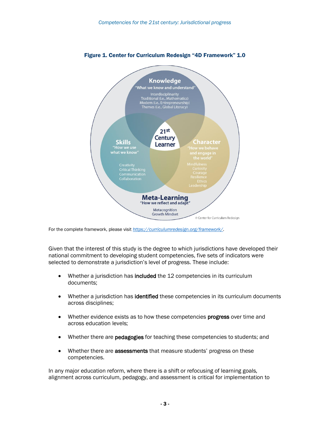

#### Figure 1. Center for Curriculum Redesign "4D Framework" 1.0

For the complete framework, please visit *<https://curriculumredesign.org/framework/>*.

Given that the interest of this study is the degree to which jurisdictions have developed their national commitment to developing student competencies, five sets of indicators were selected to demonstrate a jurisdiction's level of progress. These include:

- Whether a jurisdiction has included the 12 competencies in its curriculum documents;
- Whether a jurisdiction has **identified** these competencies in its curriculum documents across disciplines;
- Whether evidence exists as to how these competencies **progress** over time and across education levels;
- Whether there are **pedagogies** for teaching these competencies to students; and
- Whether there are **assessments** that measure students' progress on these competencies.

In any major education reform, where there is a shift or refocusing of learning goals, alignment across curriculum, pedagogy, and assessment is critical for implementation to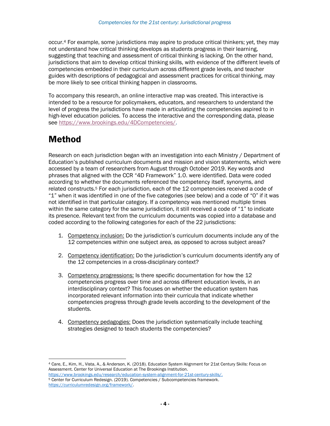occur.<sup>4</sup> For example, some jurisdictions may aspire to produce critical thinkers; yet, they may not understand how critical thinking develops as students progress in their learning, suggesting that teaching and assessment of critical thinking is lacking. On the other hand, jurisdictions that aim to develop critical thinking skills, with evidence of the different levels of competencies embedded in their curriculum across different grade levels, and teacher guides with descriptions of pedagogical and assessment practices for critical thinking, may be more likely to see critical thinking happen in classrooms.

To accompany this research, an online interactive map was created. This interactive is intended to be a resource for policymakers, educators, and researchers to understand the level of progress the jurisdictions have made in articulating the competencies aspired to in high-level education policies. To access the interactive and the corresponding data, please see [https://www.brookings.edu/4DCompetencies/.](https://nam10.safelinks.protection.outlook.com/?url=https%3A%2F%2Fwww.brookings.edu%2F4DCompetencies%2F&data=01%7C01%7CKPortnoy%40brookings.edu%7C4d3ba18f191c4eb31f6408d86f799c4a%7C0a02388e617845139b8288b9dc6bf457%7C1&sdata=07Eq5o9BJkRDis3qrIWl0qt3kZMQs2I7MmbBgWccoL0%3D&reserved=0)

# Method

Research on each jurisdiction began with an investigation into each Ministry / Department of Education's published curriculum documents and mission and vision statements, which were accessed by a team of researchers from August through October 2019. Key words and phrases that aligned with the CCR "4D Framework" 1.0. were identified. Data were coded according to whether the documents referenced the competency itself, synonyms, and related constructs.<sup>5</sup> For each jurisdiction, each of the 12 competencies received a code of "1" when it was identified in one of the five categories (see below) and a code of "0" if it was not identified in that particular category. If a competency was mentioned multiple times within the same category for the same jurisdiction, it still received a code of "1" to indicate its presence. Relevant text from the curriculum documents was copied into a database and coded according to the following categories for each of the 22 jurisdictions:

- 1. Competency inclusion: Do the jurisdiction's curriculum documents include any of the 12 competencies within one subject area, as opposed to across subject areas?
- 2. Competency identification: Do the jurisdiction's curriculum documents identify any of the 12 competencies in a cross-disciplinary context?
- 3. Competency progressions: Is there specific documentation for how the 12 competencies progress over time and across different education levels, in an interdisciplinary context? This focuses on whether the education system has incorporated relevant information into their curricula that indicate whether competencies progress through grade levels according to the development of the students.
- 4. Competency pedagogies: Does the jurisdiction systematically include teaching strategies designed to teach students the competencies?

<sup>4</sup> Care, E., Kim, H., Vista, A., & Anderson, K. (2018). Education System Alignment for 21st Century Skills: Focus on Assessment. Center for Universal Education at The Brookings Institution.

[https://www.brookings.edu/research/education-system-alignment-for-21st-century-skills/.](https://www.brookings.edu/research/education-system-alignment-for-21st-century-skills/) <sup>5</sup> Center for Curriculum Redesign. (2019). Competencies / Subcompetencies framework. [https://curriculumredesign.org/framework/.](https://curriculumredesign.org/framework/)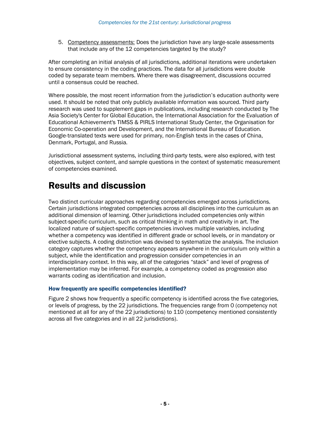5. Competency assessments: Does the jurisdiction have any large-scale assessments that include any of the 12 competencies targeted by the study?

After completing an initial analysis of all jurisdictions, additional iterations were undertaken to ensure consistency in the coding practices. The data for all jurisdictions were double coded by separate team members. Where there was disagreement, discussions occurred until a consensus could be reached.

Where possible, the most recent information from the jurisdiction's education authority were used. It should be noted that only publicly available information was sourced. Third party research was used to supplement gaps in publications, including research conducted by The Asia Society's Center for Global Education, the International Association for the Evaluation of Educational Achievement's TIMSS & PIRLS International Study Center, the Organisation for Economic Co-operation and Development, and the International Bureau of Education. Google-translated texts were used for primary, non-English texts in the cases of China, Denmark, Portugal, and Russia.

Jurisdictional assessment systems, including third-party tests, were also explored, with test objectives, subject content, and sample questions in the context of systematic measurement of competencies examined.

# Results and discussion

Two distinct curricular approaches regarding competencies emerged across jurisdictions. Certain jurisdictions integrated competencies across all disciplines into the curriculum as an additional dimension of learning. Other jurisdictions included competencies only within subject-specific curriculum, such as critical thinking in math and creativity in art. The localized nature of subject-specific competencies involves multiple variables, including whether a competency was identified in different grade or school levels, or in mandatory or elective subjects. A coding distinction was devised to systematize the analysis. The inclusion category captures whether the competency appears anywhere in the curriculum only within a subject, while the identification and progression consider competencies in an interdisciplinary context. In this way, all of the categories "stack" and level of progress of implementation may be inferred. For example, a competency coded as progression also warrants coding as identification and inclusion.

#### How frequently are specific competencies identified?

Figure 2 shows how frequently a specific competency is identified across the five categories, or levels of progress, by the 22 jurisdictions. The frequencies range from 0 (competency not mentioned at all for any of the 22 jurisdictions) to 110 (competency mentioned consistently across all five categories and in all 22 jurisdictions).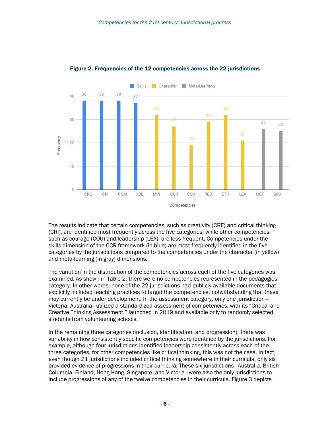

#### Figure 2. Frequencies of the 12 competencies across the 22 jurisdictions

The results indicate that certain competencies, such as creativity (CRE) and critical thinking (CRI), are identified most frequently across the five categories, while other competencies, such as courage (COU) and leadership (LEA), are less frequent. Competencies under the skills dimension of the CCR framework (in blue) are most frequently identified in the five categories by the jurisdictions compared to the competencies under the character (in yellow) and meta-learning (in gray) dimensions.

The variation in the distribution of the competencies across each of the five categories was examined. As shown in Table 2, there were no competencies represented in the pedagogies category. In other words, none of the 22 jurisdictions had publicly available documents that explicitly included teaching practices to target the competencies, notwithstanding that these may currently be under development. In the assessment category, only one jurisdiction— Victoria, Australia—utilized a standardized assessment of competencies, with its "Critical and Creative Thinking Assessment," launched in 2019 and available only to randomly selected students from volunteering schools.

In the remaining three categories (inclusion, identification, and progression), there was variability in how consistently specific competencies were identified by the jurisdictions. For example, although four jurisdictions identified leadership consistently across each of the three categories, for other competencies like critical thinking, this was not the case. In fact, even though 21 jurisdictions included critical thinking somewhere in their curricula, only six provided evidence of progressions in their curricula. These six jurisdictions—Australia, British Columbia, Finland, Hong Kong, Singapore, and Victoria—were also the only jurisdictions to include progressions of any of the twelve competencies in their curricula. Figure 3 depicts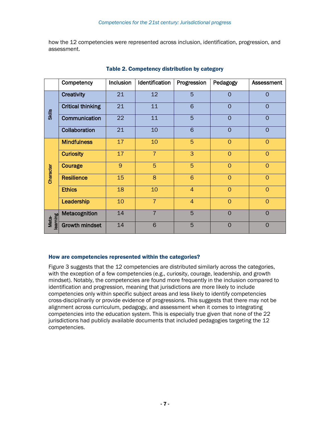how the 12 competencies were represented across inclusion, identification, progression, and assessment.

|                  | Competency               | Inclusion | Identification | Progression     | Pedagogy       | Assessment     |
|------------------|--------------------------|-----------|----------------|-----------------|----------------|----------------|
| <b>Skills</b>    | <b>Creativity</b>        | 21        | 12             | 5               | 0              | $\Omega$       |
|                  | <b>Critical thinking</b> | 21        | 11             | 6               | $\Omega$       | $\Omega$       |
|                  | Communication            | 22        | 11             | 5               | $\overline{0}$ | $\overline{O}$ |
|                  | Collaboration            | 21        | 10             | 6               | $\overline{0}$ | $\Omega$       |
| Character        | <b>Mindfulness</b>       | 17        | 10             | 5               | $\overline{0}$ | $\overline{0}$ |
|                  | <b>Curiosity</b>         | 17        | $\overline{7}$ | 3               | $\overline{O}$ | $\overline{0}$ |
|                  | Courage                  | 9         | 5              | 5               | $\overline{0}$ | $\overline{0}$ |
|                  | <b>Resilience</b>        | 15        | 8              | $6\phantom{1}6$ | $\overline{0}$ | $\Omega$       |
|                  | <b>Ethics</b>            | 18        | 10             | $\overline{4}$  | $\Omega$       | $\Omega$       |
|                  | Leadership               | 10        | $\overline{7}$ | $\overline{4}$  | $\overline{O}$ | $\overline{0}$ |
| earning<br>Meta- | Metacognition            | 14        | $\overline{7}$ | 5               | $\overline{0}$ | $\Omega$       |
|                  | <b>Growth mindset</b>    | 14        | 6              | 5               | $\overline{0}$ | $\overline{0}$ |

#### Table 2. Competency distribution by category

#### How are competencies represented within the categories?

Figure 3 suggests that the 12 competencies are distributed similarly across the categories, with the exception of a few competencies (e.g., curiosity, courage, leadership, and growth mindset). Notably, the competencies are found more frequently in the inclusion compared to identification and progression, meaning that jurisdictions are more likely to include competencies only within specific subject areas and less likely to identify competencies cross-disciplinarily or provide evidence of progressions. This suggests that there may not be alignment across curriculum, pedagogy, and assessment when it comes to integrating competencies into the education system. This is especially true given that none of the 22 jurisdictions had publicly available documents that included pedagogies targeting the 12 competencies.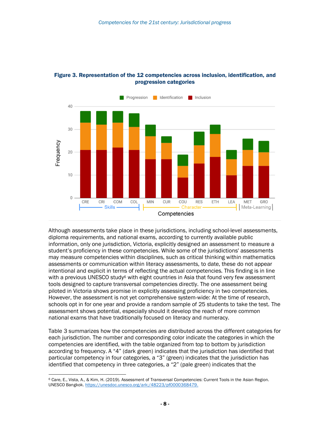

#### Figure 3. Representation of the 12 competencies across inclusion, identification, and progression categories

Although assessments take place in these jurisdictions, including school-level assessments, diploma requirements, and national exams, according to currently available public information, only one jurisdiction, Victoria, explicitly designed an assessment to measure a student's proficiency in these competencies. While some of the jurisdictions' assessments may measure competencies within disciplines, such as critical thinking within mathematics assessments or communication within literacy assessments, to date, these do not appear intentional and explicit in terms of reflecting the actual competencies. This finding is in line with a previous UNESCO study<sup>6</sup> with eight countries in Asia that found very few assessment tools designed to capture transversal competencies directly. The one assessment being piloted in Victoria shows promise in explicitly assessing proficiency in two competencies. However, the assessment is not yet comprehensive system-wide: At the time of research, schools opt in for one year and provide a random sample of 25 students to take the test. The assessment shows potential, especially should it develop the reach of more common national exams that have traditionally focused on literacy and numeracy.

Table 3 summarizes how the competencies are distributed across the different categories for each jurisdiction. The number and corresponding color indicate the categories in which the competencies are identified, with the table organized from top to bottom by jurisdiction according to frequency. A "4" (dark green) indicates that the jurisdiction has identified that particular competency in four categories, a "3" (green) indicates that the jurisdiction has identified that competency in three categories, a "2" (pale green) indicates that the

<sup>6</sup> Care, E., Vista, A., & Kim, H. (2019). Assessment of Transversal Competencies: Current Tools in the Asian Region. UNESCO Bangkok. [https://unesdoc.unesco.org/ark:/48223/pf0000368479.](https://unesdoc.unesco.org/ark:/48223/pf0000368479)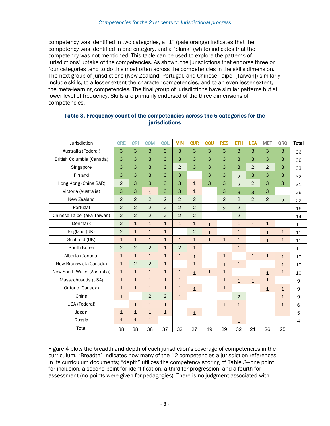competency was identified in two categories, a "1" (pale orange) indicates that the competency was identified in one category, and a "blank" (white) indicates that the competency was not mentioned. This table can be used to explore the patterns of jurisdictions' uptake of the competencies. As shown, the jurisdictions that endorse three or four categories tend to do this most often across the competencies in the skills dimension. The next group of jurisdictions (New Zealand, Portugal, and Chinese Taipei [Taiwan]) similarly include skills, to a lesser extent the character competencies, and to an even lesser extent, the meta-learning competencies. The final group of jurisdictions have similar patterns but at lower level of frequency. Skills are primarily endorsed of the three dimensions of competencies.

| <b>Jurisdiction</b>         | <b>CRE</b>     | <b>CRI</b>     | <b>COM</b>     | COL            | <b>MIN</b>     | <b>CUR</b>     | <b>COU</b>   | <b>RES</b>     | <b>ETH</b>     | <b>LEA</b>     | <b>MET</b>     | <b>GRO</b>     | <b>Total</b>   |
|-----------------------------|----------------|----------------|----------------|----------------|----------------|----------------|--------------|----------------|----------------|----------------|----------------|----------------|----------------|
| Australia (Federal)         | 3              | 3              | 3              | 3              | 3              | 3              | 3            | 3              | 3              | 3              | 3              | 3              | 36             |
| British Columbia (Canada)   | 3              | 3              | 3              | 3              | 3              | 3              | 3            | 3              | 3              | 3              | 3              | 3              | 36             |
| Singapore                   | 3              | 3              | 3              | 3              | $\overline{2}$ | 3              | 3            | 3              | 3              | $\overline{2}$ | $\overline{2}$ | 3              | 33             |
| Finland                     | 3              | 3              | 3              | 3              | 3              |                | 3            | 3              | $\overline{2}$ | 3              | 3              | 3              | 32             |
| Hong Kong (China SAR)       | $\overline{2}$ | 3              | 3              | 3              | 3              | $\mathbf{1}$   | 3            | 3              | $\overline{2}$ | $\overline{2}$ | 3              | 3              | 31             |
| Victoria (Australia)        | 3              | 3              | $\mathbf{1}$   | 3              | 3              | $\mathbf 1$    |              | 3              | 3              | 3              | 3              |                | 26             |
| New Zealand                 | $\overline{2}$ | $\overline{2}$ | $\overline{2}$ | $\overline{2}$ | $\overline{2}$ | $\overline{2}$ |              | $\overline{2}$ | $\overline{2}$ | $\overline{2}$ | $\overline{2}$ | $\overline{2}$ | 22             |
| Portugal                    | $\overline{2}$ | $\overline{2}$ | $\overline{2}$ | $\overline{2}$ | 2              | $\overline{2}$ |              | $\overline{2}$ | $\overline{2}$ |                |                |                | 16             |
| Chinese Taipei (aka Taiwan) | $\overline{2}$ | $\overline{2}$ | $\overline{2}$ | $\overline{2}$ | $\overline{2}$ | $\overline{2}$ |              |                | $\overline{2}$ |                |                |                | 14             |
| Denmark                     | $\overline{2}$ | $\mathbf{1}$   | $\mathbf{1}$   | $\mathbf{1}$   | $\mathbf{1}$   | $\mathbf{1}$   | $\mathbf{1}$ |                | $\mathbf{1}$   | $\overline{1}$ | $\mathbf{1}$   |                | 11             |
| England (UK)                | $\overline{2}$ | $\mathbf{1}$   | $\overline{1}$ | $\mathbf{1}$   |                | $\overline{2}$ | $\mathbf{1}$ |                | $\mathbf{1}$   |                | $\mathbf{1}$   | $\mathbf{1}$   | 11             |
| Scotland (UK)               | $\mathbf{1}$   | $\mathbf{1}$   | $\mathbf{1}$   | $\mathbf{1}$   | $\mathbf{1}$   | $\mathbf{1}$   | $\mathbf{1}$ | $\mathbf{1}$   | $\mathbf{1}$   |                | $\overline{1}$ | $\mathbf 1$    | 11             |
| South Korea                 | $\overline{2}$ | 2              | $\overline{2}$ | $\mathbf{1}$   | $\overline{2}$ | $\mathbf{1}$   |              |                | $\mathbf{1}$   |                |                |                | 11             |
| Alberta (Canada)            | $\mathbf{1}$   | $\mathbf{1}$   | $\mathbf{1}$   | $\mathbf{1}$   | $\mathbf{1}$   | $\mathbf{1}$   |              | $\mathbf{1}$   |                | $\mathbf{1}$   | $\mathbf{1}$   | $\mathbf{1}$   | 10             |
| New Brunswick (Canada)      | $\mathbf{1}$   | $\overline{2}$ | $\overline{2}$ | $\mathbf{1}$   |                | $\mathbf{1}$   |              | $\mathbf{1}$   | $\mathbf{1}$   |                |                | $\mathbf{1}$   | 10             |
| New South Wales (Australia) | $\mathbf{1}$   | $\mathbf{1}$   | $\mathbf{1}$   | $\mathbf{1}$   | $\mathbf{1}$   | $\overline{1}$ | $\mathbf{1}$ | $\mathbf{1}$   |                |                | $\mathbf{1}$   | $\mathbf{1}$   | 10             |
| Massachusetts (USA)         | $\mathbf{1}$   | $\mathbf{1}$   | $\mathbf{1}$   | $\mathbf{1}$   | $\mathbf{1}$   |                |              | $\mathbf{1}$   | $\mathbf{1}$   | $\mathbf{1}$   | $\mathbf{1}$   |                | 9              |
| Ontario (Canada)            | $\mathbf{1}$   | $\mathbf{1}$   | $\mathbf{1}$   | $\mathbf{1}$   | $\mathbf{1}$   | $\mathbf{1}$   |              | $\mathbf{1}$   |                |                | $\mathbf{1}$   | $\mathbf{1}$   | 9              |
| China                       | $\mathbf{1}$   |                | $\overline{2}$ | $\overline{2}$ | $\mathbf{1}$   |                |              |                | $\overline{2}$ |                |                | $\mathbf{1}$   | $\mathsf 9$    |
| USA (Federal)               |                | $\mathbf{1}$   | $\mathbf{1}$   | $\mathbf{1}$   |                |                |              | $\mathbf{1}$   | $\mathbf{1}$   |                |                | $\mathbf{1}$   | 6              |
| Japan                       | $\mathbf{1}$   | $\mathbf{1}$   | $\overline{1}$ | $\mathbf{1}$   |                | $\mathbf{1}$   |              |                |                |                |                |                | 5              |
| Russia                      | $\mathbf{1}$   | $\mathbf 1$    | $\mathbf{1}$   |                |                |                |              |                | $\mathbf{1}$   |                |                |                | $\overline{4}$ |
| Total                       | 38             | 38             | 38             | 37             | 32             | 27             | 19           | 29             | 32             | 21             | 26             | 25             |                |

#### Table 3. Frequency count of the competencies across the 5 categories for the jurisdictions

Figure 4 plots the breadth and depth of each jurisdiction's coverage of competencies in the curriculum. "Breadth" indicates how many of the 12 competencies a jurisdiction references in its curriculum documents; "depth" utilizes the competency scoring of Table 3—one point for inclusion, a second point for identification, a third for progression, and a fourth for assessment (no points were given for pedagogies). There is no judgment associated with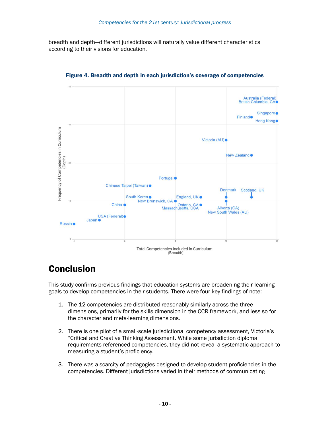breadth and depth—different jurisdictions will naturally value different characteristics according to their visions for education.



Figure 4. Breadth and depth in each jurisdiction's coverage of competencies

### Conclusion

This study confirms previous findings that education systems are broadening their learning goals to develop competencies in their students. There were four key findings of note:

- 1. The 12 competencies are distributed reasonably similarly across the three dimensions, primarily for the skills dimension in the CCR framework, and less so for the character and meta-learning dimensions.
- 2. There is one pilot of a small-scale jurisdictional competency assessment, Victoria's "Critical and Creative Thinking Assessment. While some jurisdiction diploma requirements referenced competencies, they did not reveal a systematic approach to measuring a student's proficiency.
- 3. There was a scarcity of pedagogies designed to develop student proficiencies in the competencies. Different jurisdictions varied in their methods of communicating